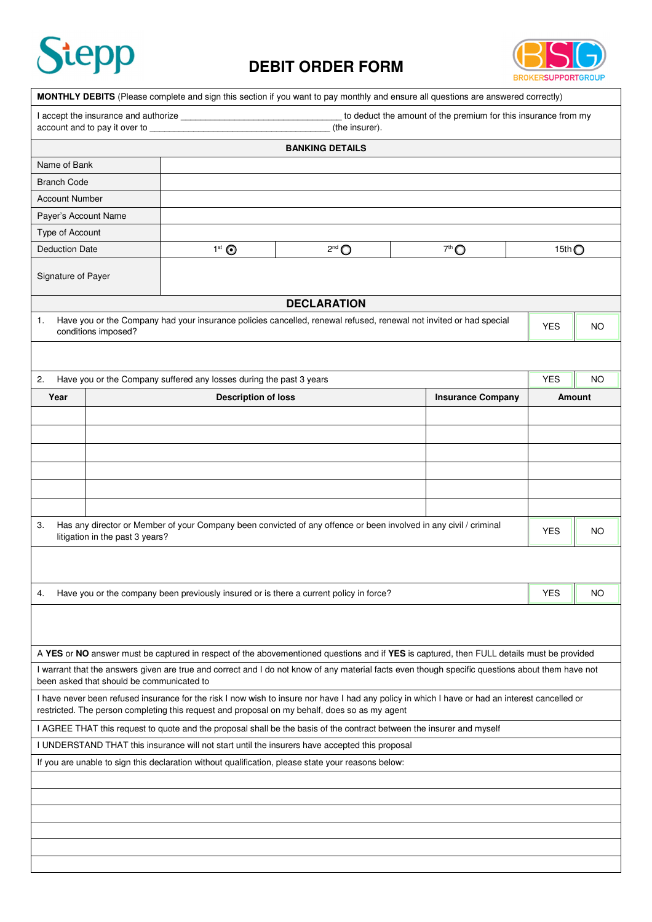

## **DEBIT ORDER FORM**



|                                                                                                                                                                                                                                                                                                                          |                                           | MONTHLY DEBITS (Please complete and sign this section if you want to pay monthly and ensure all questions are answered correctly)                                                                                                                |                     |  |                          |            |                 |           |  |  |  |  |  |
|--------------------------------------------------------------------------------------------------------------------------------------------------------------------------------------------------------------------------------------------------------------------------------------------------------------------------|-------------------------------------------|--------------------------------------------------------------------------------------------------------------------------------------------------------------------------------------------------------------------------------------------------|---------------------|--|--------------------------|------------|-----------------|-----------|--|--|--|--|--|
| to deduct the amount of the premium for this insurance from my<br>account and to pay it over to <b>contain the set of the set of the set of the set of the set of the set of the set of the set of the set of the set of the set of the set of the set of the set of the set of the set of the set</b><br>(the insurer). |                                           |                                                                                                                                                                                                                                                  |                     |  |                          |            |                 |           |  |  |  |  |  |
| <b>BANKING DETAILS</b>                                                                                                                                                                                                                                                                                                   |                                           |                                                                                                                                                                                                                                                  |                     |  |                          |            |                 |           |  |  |  |  |  |
| Name of Bank                                                                                                                                                                                                                                                                                                             |                                           |                                                                                                                                                                                                                                                  |                     |  |                          |            |                 |           |  |  |  |  |  |
| <b>Branch Code</b>                                                                                                                                                                                                                                                                                                       |                                           |                                                                                                                                                                                                                                                  |                     |  |                          |            |                 |           |  |  |  |  |  |
| <b>Account Number</b>                                                                                                                                                                                                                                                                                                    |                                           |                                                                                                                                                                                                                                                  |                     |  |                          |            |                 |           |  |  |  |  |  |
| Payer's Account Name                                                                                                                                                                                                                                                                                                     |                                           |                                                                                                                                                                                                                                                  |                     |  |                          |            |                 |           |  |  |  |  |  |
| Type of Account                                                                                                                                                                                                                                                                                                          |                                           |                                                                                                                                                                                                                                                  |                     |  |                          |            |                 |           |  |  |  |  |  |
| <b>Deduction Date</b>                                                                                                                                                                                                                                                                                                    |                                           | $1st$ $\odot$                                                                                                                                                                                                                                    | $2^{nd}$ $\bigcirc$ |  | $7th$ $\bigcirc$         |            | 15th $\bigcirc$ |           |  |  |  |  |  |
| Signature of Payer                                                                                                                                                                                                                                                                                                       |                                           |                                                                                                                                                                                                                                                  |                     |  |                          |            |                 |           |  |  |  |  |  |
| <b>DECLARATION</b>                                                                                                                                                                                                                                                                                                       |                                           |                                                                                                                                                                                                                                                  |                     |  |                          |            |                 |           |  |  |  |  |  |
| Have you or the Company had your insurance policies cancelled, renewal refused, renewal not invited or had special<br>1.<br>conditions imposed?                                                                                                                                                                          |                                           |                                                                                                                                                                                                                                                  |                     |  |                          | <b>YES</b> |                 | NO.       |  |  |  |  |  |
| 2.                                                                                                                                                                                                                                                                                                                       |                                           | Have you or the Company suffered any losses during the past 3 years                                                                                                                                                                              |                     |  |                          | <b>YES</b> |                 | <b>NO</b> |  |  |  |  |  |
| Year                                                                                                                                                                                                                                                                                                                     |                                           | <b>Description of loss</b>                                                                                                                                                                                                                       |                     |  | <b>Insurance Company</b> |            | Amount          |           |  |  |  |  |  |
|                                                                                                                                                                                                                                                                                                                          |                                           |                                                                                                                                                                                                                                                  |                     |  |                          |            |                 |           |  |  |  |  |  |
|                                                                                                                                                                                                                                                                                                                          |                                           |                                                                                                                                                                                                                                                  |                     |  |                          |            |                 |           |  |  |  |  |  |
|                                                                                                                                                                                                                                                                                                                          |                                           |                                                                                                                                                                                                                                                  |                     |  |                          |            |                 |           |  |  |  |  |  |
|                                                                                                                                                                                                                                                                                                                          |                                           |                                                                                                                                                                                                                                                  |                     |  |                          |            |                 |           |  |  |  |  |  |
|                                                                                                                                                                                                                                                                                                                          |                                           |                                                                                                                                                                                                                                                  |                     |  |                          |            |                 |           |  |  |  |  |  |
|                                                                                                                                                                                                                                                                                                                          |                                           |                                                                                                                                                                                                                                                  |                     |  |                          |            |                 |           |  |  |  |  |  |
|                                                                                                                                                                                                                                                                                                                          |                                           |                                                                                                                                                                                                                                                  |                     |  |                          |            |                 |           |  |  |  |  |  |
| Has any director or Member of your Company been convicted of any offence or been involved in any civil / criminal<br>3.<br>litigation in the past 3 years?                                                                                                                                                               |                                           |                                                                                                                                                                                                                                                  |                     |  |                          |            |                 | NO.       |  |  |  |  |  |
|                                                                                                                                                                                                                                                                                                                          |                                           |                                                                                                                                                                                                                                                  |                     |  |                          |            |                 |           |  |  |  |  |  |
| Have you or the company been previously insured or is there a current policy in force?<br>4.                                                                                                                                                                                                                             |                                           |                                                                                                                                                                                                                                                  |                     |  |                          |            |                 | NO        |  |  |  |  |  |
|                                                                                                                                                                                                                                                                                                                          |                                           |                                                                                                                                                                                                                                                  |                     |  |                          |            |                 |           |  |  |  |  |  |
|                                                                                                                                                                                                                                                                                                                          |                                           | A YES or NO answer must be captured in respect of the abovementioned questions and if YES is captured, then FULL details must be provided                                                                                                        |                     |  |                          |            |                 |           |  |  |  |  |  |
|                                                                                                                                                                                                                                                                                                                          |                                           | I warrant that the answers given are true and correct and I do not know of any material facts even though specific questions about them have not                                                                                                 |                     |  |                          |            |                 |           |  |  |  |  |  |
|                                                                                                                                                                                                                                                                                                                          | been asked that should be communicated to |                                                                                                                                                                                                                                                  |                     |  |                          |            |                 |           |  |  |  |  |  |
|                                                                                                                                                                                                                                                                                                                          |                                           | I have never been refused insurance for the risk I now wish to insure nor have I had any policy in which I have or had an interest cancelled or<br>restricted. The person completing this request and proposal on my behalf, does so as my agent |                     |  |                          |            |                 |           |  |  |  |  |  |
|                                                                                                                                                                                                                                                                                                                          |                                           | I AGREE THAT this request to quote and the proposal shall be the basis of the contract between the insurer and myself                                                                                                                            |                     |  |                          |            |                 |           |  |  |  |  |  |
|                                                                                                                                                                                                                                                                                                                          |                                           | I UNDERSTAND THAT this insurance will not start until the insurers have accepted this proposal                                                                                                                                                   |                     |  |                          |            |                 |           |  |  |  |  |  |
| If you are unable to sign this declaration without qualification, please state your reasons below:                                                                                                                                                                                                                       |                                           |                                                                                                                                                                                                                                                  |                     |  |                          |            |                 |           |  |  |  |  |  |
|                                                                                                                                                                                                                                                                                                                          |                                           |                                                                                                                                                                                                                                                  |                     |  |                          |            |                 |           |  |  |  |  |  |
|                                                                                                                                                                                                                                                                                                                          |                                           |                                                                                                                                                                                                                                                  |                     |  |                          |            |                 |           |  |  |  |  |  |
|                                                                                                                                                                                                                                                                                                                          |                                           |                                                                                                                                                                                                                                                  |                     |  |                          |            |                 |           |  |  |  |  |  |
|                                                                                                                                                                                                                                                                                                                          |                                           |                                                                                                                                                                                                                                                  |                     |  |                          |            |                 |           |  |  |  |  |  |
|                                                                                                                                                                                                                                                                                                                          |                                           |                                                                                                                                                                                                                                                  |                     |  |                          |            |                 |           |  |  |  |  |  |
|                                                                                                                                                                                                                                                                                                                          |                                           |                                                                                                                                                                                                                                                  |                     |  |                          |            |                 |           |  |  |  |  |  |